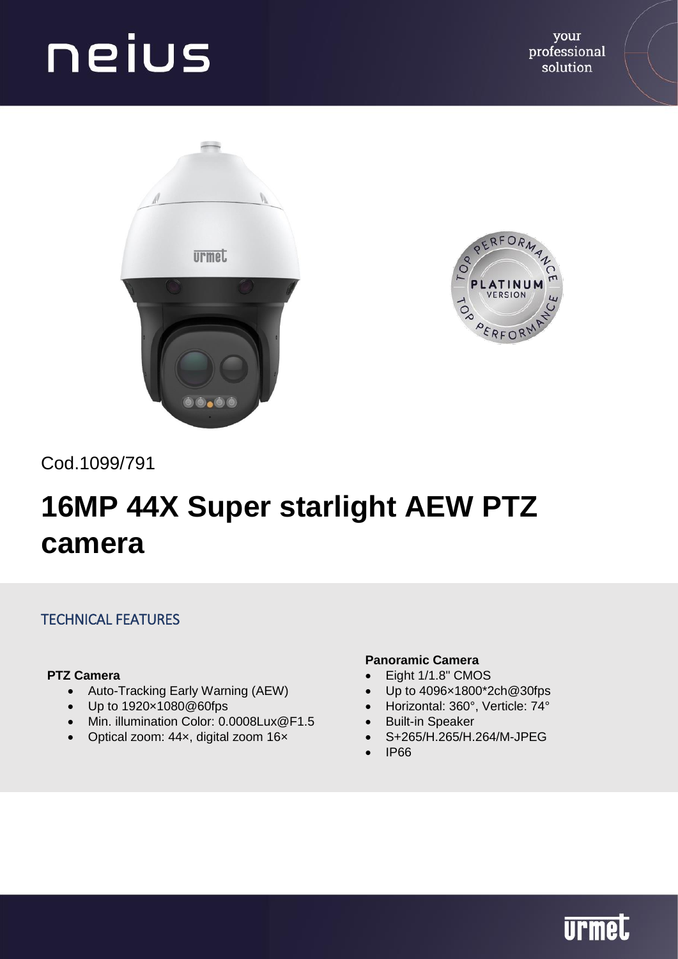



Cod.1099/791

### **16MP 44X Super starlight AEW PTZ camera**

### TECHNICAL FEATURES

#### **PTZ Camera**

- Auto-Tracking Early Warning (AEW)
- Up to 1920×1080@60fps
- Min. illumination Color: 0.0008Lux@F1.5
- Optical zoom: 44x, digital zoom 16x

#### **Panoramic Camera**

- Eight 1/1.8" CMOS
- Up to 4096×1800\*2ch@30fps
- Horizontal: 360°, Verticle: 74°
- Built-in Speaker
- S+265/H.265/H.264/M-JPEG
- IP66

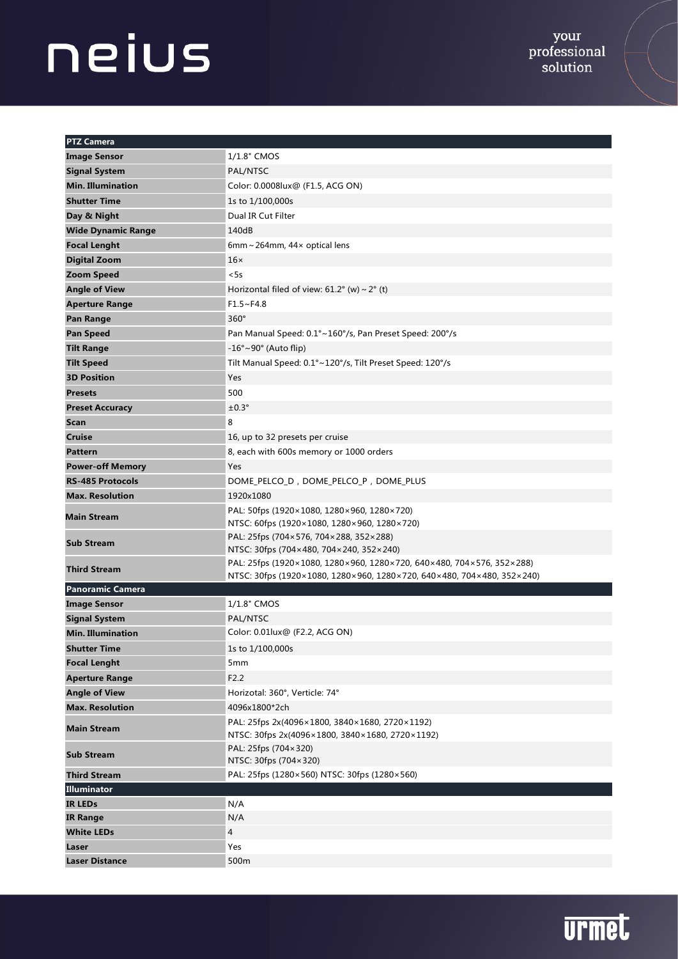| <b>PTZ Camera</b>         |                                                                                                                                                 |
|---------------------------|-------------------------------------------------------------------------------------------------------------------------------------------------|
| <b>Image Sensor</b>       | 1/1.8" CMOS                                                                                                                                     |
| <b>Signal System</b>      | PAL/NTSC                                                                                                                                        |
| <b>Min. Illumination</b>  | Color: 0.0008lux@ (F1.5, ACG ON)                                                                                                                |
| <b>Shutter Time</b>       | 1s to 1/100,000s                                                                                                                                |
| Day & Night               | Dual IR Cut Filter                                                                                                                              |
| <b>Wide Dynamic Range</b> | 140dB                                                                                                                                           |
| <b>Focal Lenght</b>       | 6mm ~ 264mm, 44 $\times$ optical lens                                                                                                           |
| <b>Digital Zoom</b>       | $16\times$                                                                                                                                      |
| <b>Zoom Speed</b>         | < 5s                                                                                                                                            |
| <b>Angle of View</b>      | Horizontal filed of view: $61.2^{\circ}$ (w) ~ $2^{\circ}$ (t)                                                                                  |
| <b>Aperture Range</b>     | F1.5~F4.8                                                                                                                                       |
| <b>Pan Range</b>          | $360^\circ$                                                                                                                                     |
| <b>Pan Speed</b>          | Pan Manual Speed: 0.1°~160°/s, Pan Preset Speed: 200°/s                                                                                         |
| <b>Tilt Range</b>         | $-16^{\circ}$ ~90° (Auto flip)                                                                                                                  |
| <b>Tilt Speed</b>         | Tilt Manual Speed: 0.1°~120°/s, Tilt Preset Speed: 120°/s                                                                                       |
| <b>3D Position</b>        | Yes                                                                                                                                             |
| <b>Presets</b>            | 500                                                                                                                                             |
| <b>Preset Accuracy</b>    | $±0.3^\circ$                                                                                                                                    |
| Scan                      | 8                                                                                                                                               |
| <b>Cruise</b>             | 16, up to 32 presets per cruise                                                                                                                 |
| <b>Pattern</b>            | 8, each with 600s memory or 1000 orders                                                                                                         |
| <b>Power-off Memory</b>   | Yes                                                                                                                                             |
| <b>RS-485 Protocols</b>   | DOME_PELCO_D, DOME_PELCO_P, DOME_PLUS                                                                                                           |
| <b>Max. Resolution</b>    | 1920x1080                                                                                                                                       |
| <b>Main Stream</b>        | PAL: 50fps (1920×1080, 1280×960, 1280×720)<br>NTSC: 60fps (1920×1080, 1280×960, 1280×720)                                                       |
| <b>Sub Stream</b>         | PAL: 25fps (704×576, 704×288, 352×288)<br>NTSC: 30fps (704×480, 704×240, 352×240)                                                               |
| <b>Third Stream</b>       | PAL: 25fps (1920×1080, 1280×960, 1280×720, 640×480, 704×576, 352×288)<br>NTSC: 30fps (1920×1080, 1280×960, 1280×720, 640×480, 704×480, 352×240) |
| <b>Panoramic Camera</b>   |                                                                                                                                                 |
| <b>Image Sensor</b>       | 1/1.8" CMOS                                                                                                                                     |
| <b>Signal System</b>      | PAL/NTSC                                                                                                                                        |
| <b>Min. Illumination</b>  | Color: 0.01lux@ (F2.2, ACG ON)                                                                                                                  |
| <b>Shutter Time</b>       | 1s to 1/100,000s                                                                                                                                |
| <b>Focal Lenght</b>       | 5 <sub>mm</sub>                                                                                                                                 |
| <b>Aperture Range</b>     | F2.2                                                                                                                                            |
| <b>Angle of View</b>      | Horizotal: 360°, Verticle: 74°                                                                                                                  |
| <b>Max. Resolution</b>    | 4096x1800*2ch                                                                                                                                   |
| <b>Main Stream</b>        | PAL: 25fps 2x(4096×1800, 3840×1680, 2720×1192)<br>NTSC: 30fps 2x(4096×1800, 3840×1680, 2720×1192)                                               |
| <b>Sub Stream</b>         | PAL: 25fps (704×320)<br>NTSC: 30fps (704×320)                                                                                                   |
| <b>Third Stream</b>       | PAL: 25fps (1280×560) NTSC: 30fps (1280×560)                                                                                                    |
| Illuminator               |                                                                                                                                                 |
| <b>IR LEDs</b>            | N/A                                                                                                                                             |
| <b>IR Range</b>           | N/A                                                                                                                                             |
| <b>White LEDs</b>         | 4                                                                                                                                               |
| Laser                     | Yes                                                                                                                                             |
| <b>Laser Distance</b>     | 500m                                                                                                                                            |

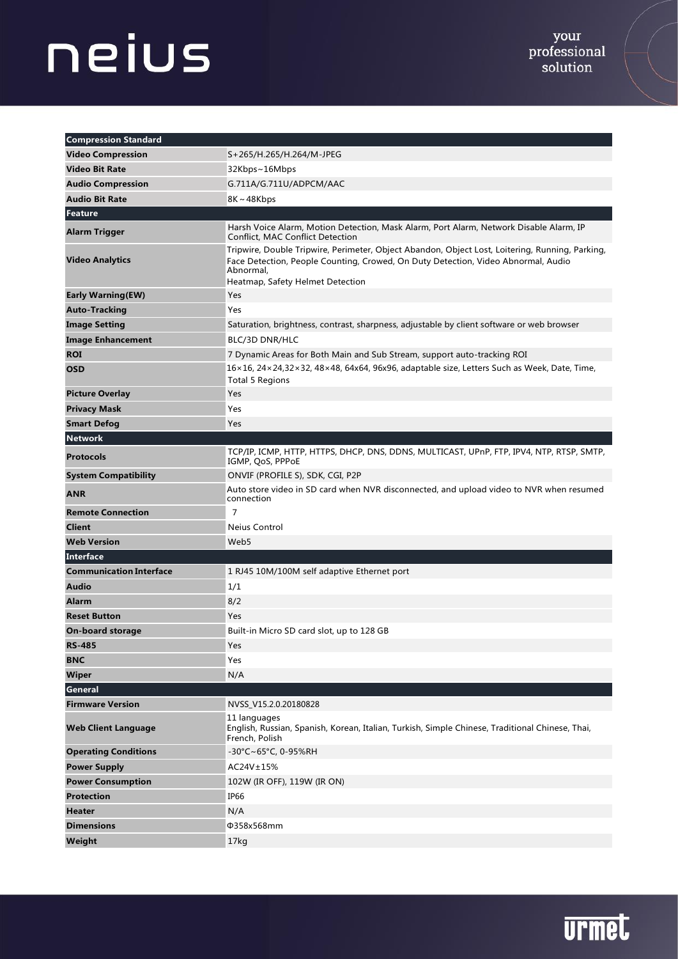| <b>Compression Standard</b>    |                                                                                                                                                                                                                                       |
|--------------------------------|---------------------------------------------------------------------------------------------------------------------------------------------------------------------------------------------------------------------------------------|
| <b>Video Compression</b>       | S+265/H.265/H.264/M-JPEG                                                                                                                                                                                                              |
| <b>Video Bit Rate</b>          | 32Kbps~16Mbps                                                                                                                                                                                                                         |
| <b>Audio Compression</b>       | G.711A/G.711U/ADPCM/AAC                                                                                                                                                                                                               |
| <b>Audio Bit Rate</b>          | $8K \sim 48Kbps$                                                                                                                                                                                                                      |
| Feature                        |                                                                                                                                                                                                                                       |
| <b>Alarm Trigger</b>           | Harsh Voice Alarm, Motion Detection, Mask Alarm, Port Alarm, Network Disable Alarm, IP<br>Conflict, MAC Conflict Detection                                                                                                            |
| <b>Video Analytics</b>         | Tripwire, Double Tripwire, Perimeter, Object Abandon, Object Lost, Loitering, Running, Parking,<br>Face Detection, People Counting, Crowed, On Duty Detection, Video Abnormal, Audio<br>Abnormal,<br>Heatmap, Safety Helmet Detection |
| <b>Early Warning(EW)</b>       | Yes                                                                                                                                                                                                                                   |
| <b>Auto-Tracking</b>           | Yes                                                                                                                                                                                                                                   |
| <b>Image Setting</b>           | Saturation, brightness, contrast, sharpness, adjustable by client software or web browser                                                                                                                                             |
| <b>Image Enhancement</b>       | BLC/3D DNR/HLC                                                                                                                                                                                                                        |
| <b>ROI</b>                     | 7 Dynamic Areas for Both Main and Sub Stream, support auto-tracking ROI                                                                                                                                                               |
| <b>OSD</b>                     | 16×16, 24×24,32×32, 48×48, 64x64, 96x96, adaptable size, Letters Such as Week, Date, Time,<br><b>Total 5 Regions</b>                                                                                                                  |
| <b>Picture Overlay</b>         | Yes                                                                                                                                                                                                                                   |
| <b>Privacy Mask</b>            | Yes                                                                                                                                                                                                                                   |
| <b>Smart Defog</b>             | Yes                                                                                                                                                                                                                                   |
| <b>Network</b>                 |                                                                                                                                                                                                                                       |
| <b>Protocols</b>               | TCP/IP, ICMP, HTTP, HTTPS, DHCP, DNS, DDNS, MULTICAST, UPnP, FTP, IPV4, NTP, RTSP, SMTP,<br>IGMP, QoS, PPPoE                                                                                                                          |
| <b>System Compatibility</b>    | ONVIF (PROFILE S), SDK, CGI, P2P                                                                                                                                                                                                      |
| <b>ANR</b>                     | Auto store video in SD card when NVR disconnected, and upload video to NVR when resumed<br>connection                                                                                                                                 |
| <b>Remote Connection</b>       | $\overline{7}$                                                                                                                                                                                                                        |
| <b>Client</b>                  | Neius Control                                                                                                                                                                                                                         |
| <b>Web Version</b>             | Web5                                                                                                                                                                                                                                  |
| Interface                      |                                                                                                                                                                                                                                       |
| <b>Communication Interface</b> | 1 RJ45 10M/100M self adaptive Ethernet port                                                                                                                                                                                           |
| <b>Audio</b>                   | 1/1                                                                                                                                                                                                                                   |
| <b>Alarm</b>                   | 8/2                                                                                                                                                                                                                                   |
| <b>Reset Button</b>            | Yes                                                                                                                                                                                                                                   |
| <b>On-board storage</b>        | Built-in Micro SD card slot, up to 128 GB                                                                                                                                                                                             |
| <b>RS-485</b>                  | Yes                                                                                                                                                                                                                                   |
| <b>BNC</b>                     | Yes                                                                                                                                                                                                                                   |
| <b>Wiper</b>                   | N/A                                                                                                                                                                                                                                   |
| <b>General</b>                 |                                                                                                                                                                                                                                       |
| <b>Firmware Version</b>        | NVSS_V15.2.0.20180828                                                                                                                                                                                                                 |
| <b>Web Client Language</b>     | 11 languages<br>English, Russian, Spanish, Korean, Italian, Turkish, Simple Chinese, Traditional Chinese, Thai,<br>French, Polish                                                                                                     |
| <b>Operating Conditions</b>    | -30°C~65°C, 0-95%RH                                                                                                                                                                                                                   |
| <b>Power Supply</b>            | AC24V±15%                                                                                                                                                                                                                             |
| <b>Power Consumption</b>       | 102W (IR OFF), 119W (IR ON)                                                                                                                                                                                                           |
| <b>Protection</b>              | IP66                                                                                                                                                                                                                                  |
| <b>Heater</b>                  | N/A                                                                                                                                                                                                                                   |
| <b>Dimensions</b>              | Φ358x568mm                                                                                                                                                                                                                            |
| Weight                         | 17kg                                                                                                                                                                                                                                  |